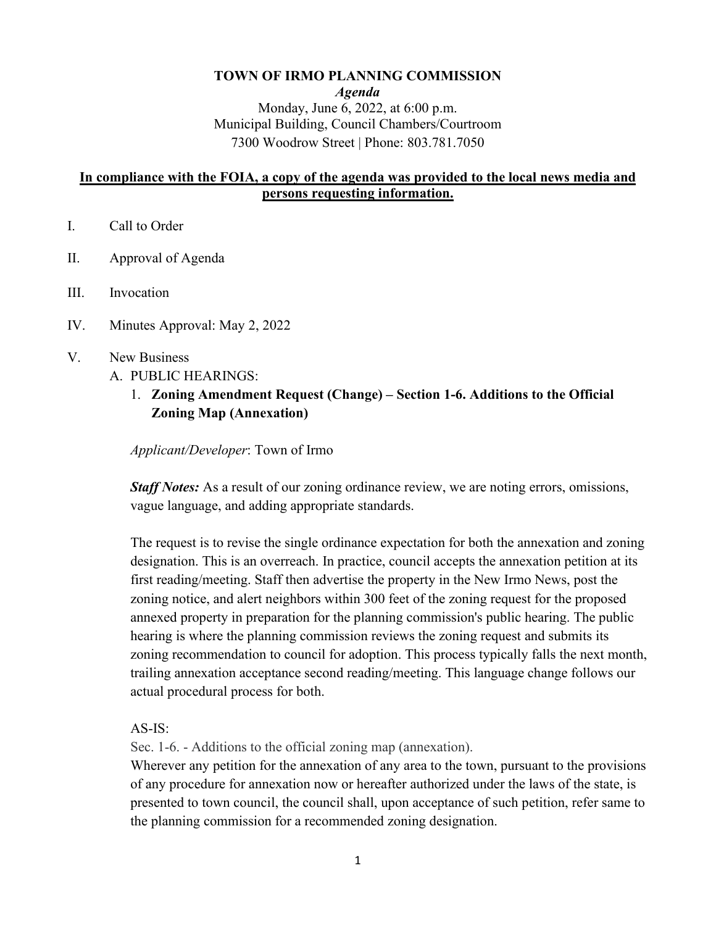# **TOWN OF IRMO PLANNING COMMISSION** *Agenda*  Monday, June 6, 2022, at 6:00 p.m. Municipal Building, Council Chambers/Courtroom 7300 Woodrow Street | Phone: 803.781.7050

# **In compliance with the FOIA, a copy of the agenda was provided to the local news media and persons requesting information.**

- I. Call to Order
- II. Approval of Agenda
- III. Invocation
- IV. Minutes Approval: May 2, 2022
- V. New Business
	- A. PUBLIC HEARINGS:
		- 1. **Zoning Amendment Request (Change) Section 1-6. Additions to the Official Zoning Map (Annexation)**

*Applicant/Developer*: Town of Irmo

*Staff Notes:* As a result of our zoning ordinance review, we are noting errors, omissions, vague language, and adding appropriate standards.

The request is to revise the single ordinance expectation for both the annexation and zoning designation. This is an overreach. In practice, council accepts the annexation petition at its first reading/meeting. Staff then advertise the property in the New Irmo News, post the zoning notice, and alert neighbors within 300 feet of the zoning request for the proposed annexed property in preparation for the planning commission's public hearing. The public hearing is where the planning commission reviews the zoning request and submits its zoning recommendation to council for adoption. This process typically falls the next month, trailing annexation acceptance second reading/meeting. This language change follows our actual procedural process for both.

AS-IS:

Sec. 1-6. - Additions to the official zoning map (annexation).

Wherever any petition for the annexation of any area to the town, pursuant to the provisions of any procedure for annexation now or hereafter authorized under the laws of the state, is presented to town council, the council shall, upon acceptance of such petition, refer same to the planning commission for a recommended zoning designation.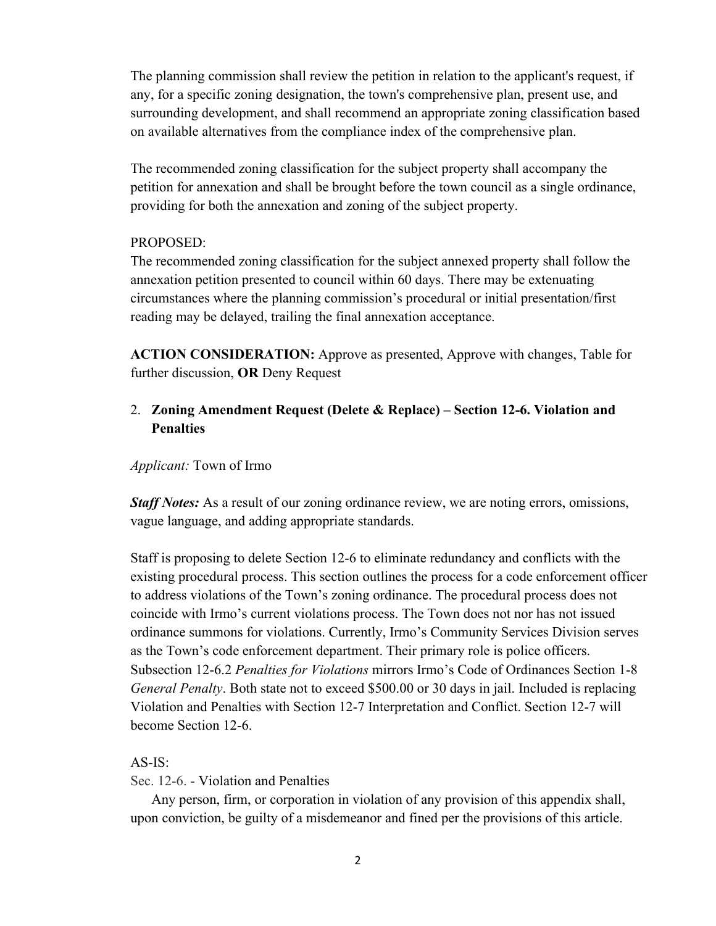The planning commission shall review the petition in relation to the applicant's request, if any, for a specific zoning designation, the town's comprehensive plan, present use, and surrounding development, and shall recommend an appropriate zoning classification based on available alternatives from the compliance index of the comprehensive plan.

The recommended zoning classification for the subject property shall accompany the petition for annexation and shall be brought before the town council as a single ordinance, providing for both the annexation and zoning of the subject property.

# PROPOSED:

The recommended zoning classification for the subject annexed property shall follow the annexation petition presented to council within 60 days. There may be extenuating circumstances where the planning commission's procedural or initial presentation/first reading may be delayed, trailing the final annexation acceptance.

**ACTION CONSIDERATION:** Approve as presented, Approve with changes, Table for further discussion, **OR** Deny Request

# 2. **Zoning Amendment Request (Delete & Replace) – Section 12-6. Violation and Penalties**

## *Applicant:* Town of Irmo

*Staff Notes:* As a result of our zoning ordinance review, we are noting errors, omissions, vague language, and adding appropriate standards.

Staff is proposing to delete Section 12-6 to eliminate redundancy and conflicts with the existing procedural process. This section outlines the process for a code enforcement officer to address violations of the Town's zoning ordinance. The procedural process does not coincide with Irmo's current violations process. The Town does not nor has not issued ordinance summons for violations. Currently, Irmo's Community Services Division serves as the Town's code enforcement department. Their primary role is police officers. Subsection 12-6.2 *Penalties for Violations* mirrors Irmo's Code of Ordinances Section 1-8 *General Penalty*. Both state not to exceed \$500.00 or 30 days in jail. Included is replacing Violation and Penalties with Section 12-7 Interpretation and Conflict. Section 12-7 will become Section 12-6.

## AS-IS:

Sec. 12-6. - Violation and Penalties

Any person, firm, or corporation in violation of any provision of this appendix shall, upon conviction, be guilty of a misdemeanor and fined per the provisions of this article.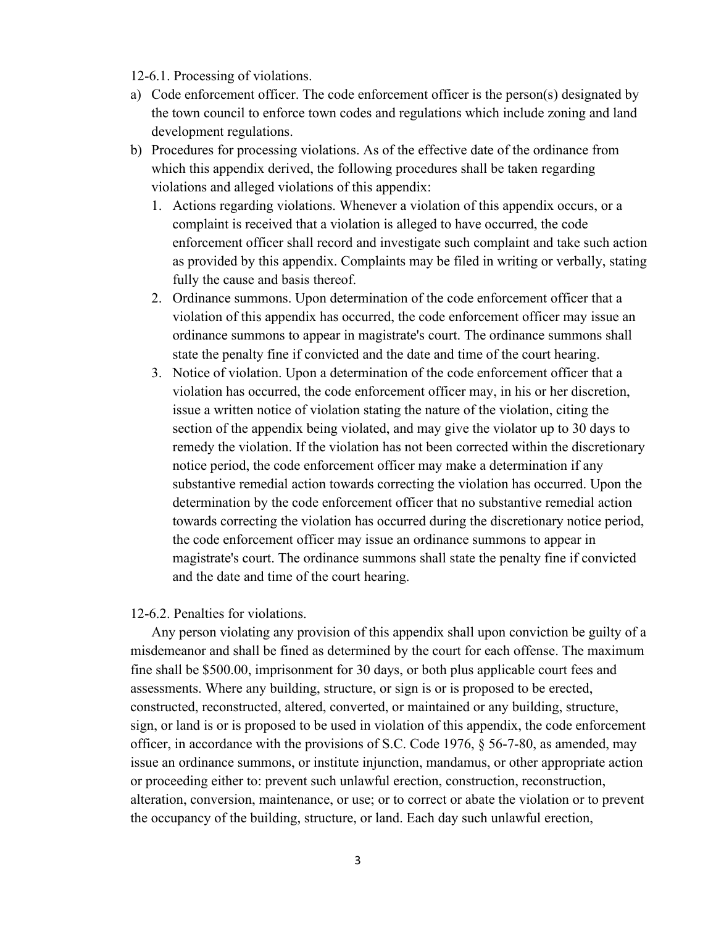## 12-6.1. Processing of violations.

- a) Code enforcement officer. The code enforcement officer is the person(s) designated by the town council to enforce town codes and regulations which include zoning and land development regulations.
- b) Procedures for processing violations. As of the effective date of the ordinance from which this appendix derived, the following procedures shall be taken regarding violations and alleged violations of this appendix:
	- 1. Actions regarding violations. Whenever a violation of this appendix occurs, or a complaint is received that a violation is alleged to have occurred, the code enforcement officer shall record and investigate such complaint and take such action as provided by this appendix. Complaints may be filed in writing or verbally, stating fully the cause and basis thereof.
	- 2. Ordinance summons. Upon determination of the code enforcement officer that a violation of this appendix has occurred, the code enforcement officer may issue an ordinance summons to appear in magistrate's court. The ordinance summons shall state the penalty fine if convicted and the date and time of the court hearing.
	- 3. Notice of violation. Upon a determination of the code enforcement officer that a violation has occurred, the code enforcement officer may, in his or her discretion, issue a written notice of violation stating the nature of the violation, citing the section of the appendix being violated, and may give the violator up to 30 days to remedy the violation. If the violation has not been corrected within the discretionary notice period, the code enforcement officer may make a determination if any substantive remedial action towards correcting the violation has occurred. Upon the determination by the code enforcement officer that no substantive remedial action towards correcting the violation has occurred during the discretionary notice period, the code enforcement officer may issue an ordinance summons to appear in magistrate's court. The ordinance summons shall state the penalty fine if convicted and the date and time of the court hearing.

#### 12-6.2. Penalties for violations.

Any person violating any provision of this appendix shall upon conviction be guilty of a misdemeanor and shall be fined as determined by the court for each offense. The maximum fine shall be \$500.00, imprisonment for 30 days, or both plus applicable court fees and assessments. Where any building, structure, or sign is or is proposed to be erected, constructed, reconstructed, altered, converted, or maintained or any building, structure, sign, or land is or is proposed to be used in violation of this appendix, the code enforcement officer, in accordance with the provisions of S.C. Code 1976, § 56-7-80, as amended, may issue an ordinance summons, or institute injunction, mandamus, or other appropriate action or proceeding either to: prevent such unlawful erection, construction, reconstruction, alteration, conversion, maintenance, or use; or to correct or abate the violation or to prevent the occupancy of the building, structure, or land. Each day such unlawful erection,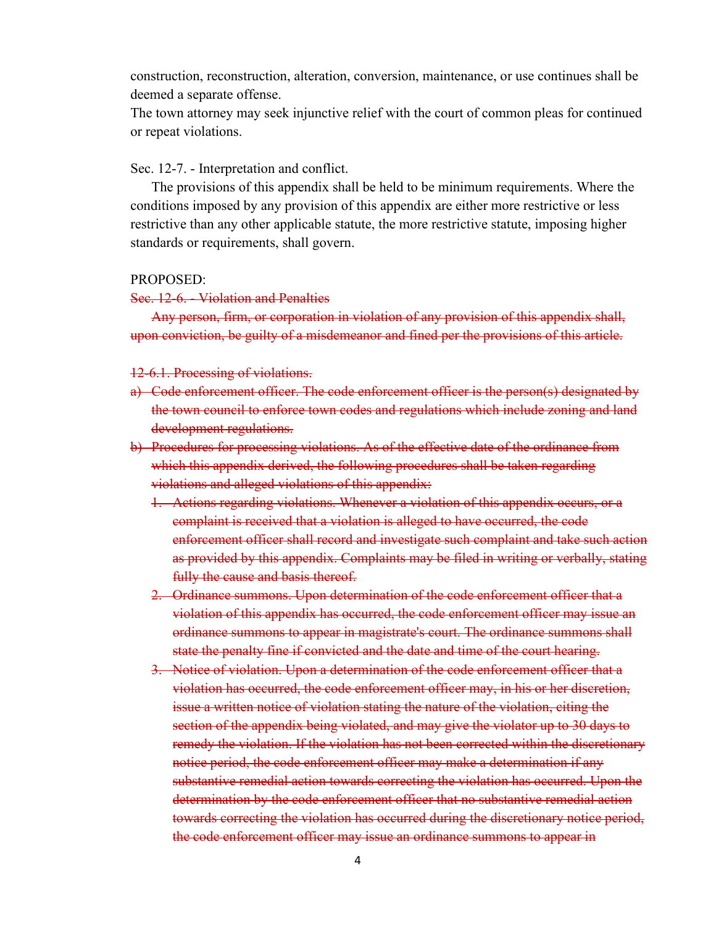construction, reconstruction, alteration, conversion, maintenance, or use continues shall be deemed a separate offense.

The town attorney may seek injunctive relief with the court of common pleas for continued or repeat violations.

Sec. 12-7. - Interpretation and conflict.

The provisions of this appendix shall be held to be minimum requirements. Where the conditions imposed by any provision of this appendix are either more restrictive or less restrictive than any other applicable statute, the more restrictive statute, imposing higher standards or requirements, shall govern.

## PROPOSED:

#### Sec. 12-6. - Violation and Penalties

Any person, firm, or corporation in violation of any provision of this appendix shall, upon conviction, be guilty of a misdemeanor and fined per the provisions of this article.

### 12-6.1. Processing of violations.

- a) Code enforcement officer. The code enforcement officer is the person(s) designated by the town council to enforce town codes and regulations which include zoning and land development regulations.
- b) Procedures for processing violations. As of the effective date of the ordinance from which this appendix derived, the following procedures shall be taken regarding violations and alleged violations of this appendix:
	- 1. Actions regarding violations. Whenever a violation of this appendix occurs, or a complaint is received that a violation is alleged to have occurred, the code enforcement officer shall record and investigate such complaint and take such action as provided by this appendix. Complaints may be filed in writing or verbally, stating fully the cause and basis thereof.
	- 2. Ordinance summons. Upon determination of the code enforcement officer that a violation of this appendix has occurred, the code enforcement officer may issue an ordinance summons to appear in magistrate's court. The ordinance summons shall state the penalty fine if convicted and the date and time of the court hearing.
	- 3. Notice of violation. Upon a determination of the code enforcement officer that a violation has occurred, the code enforcement officer may, in his or her discretion, issue a written notice of violation stating the nature of the violation, citing the section of the appendix being violated, and may give the violator up to 30 days to remedy the violation. If the violation has not been corrected within the discretionary notice period, the code enforcement officer may make a determination if any substantive remedial action towards correcting the violation has occurred. Upon the determination by the code enforcement officer that no substantive remedial action towards correcting the violation has occurred during the discretionary notice period, the code enforcement officer may issue an ordinance summons to appear in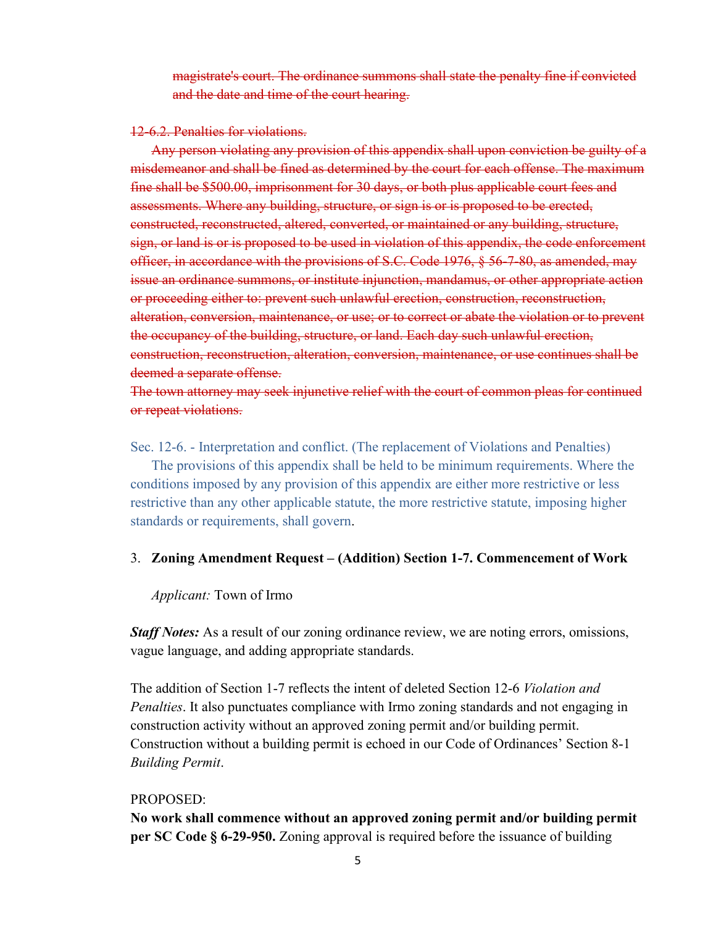magistrate's court. The ordinance summons shall state the penalty fine if convicted and the date and time of the court hearing.

#### 12-6.2. Penalties for violations.

Any person violating any provision of this appendix shall upon conviction be guilty of a misdemeanor and shall be fined as determined by the court for each offense. The maximum fine shall be \$500.00, imprisonment for 30 days, or both plus applicable court fees and assessments. Where any building, structure, or sign is or is proposed to be erected, constructed, reconstructed, altered, converted, or maintained or any building, structure, sign, or land is or is proposed to be used in violation of this appendix, the code enforcement officer, in accordance with the provisions of S.C. Code 1976, § 56-7-80, as amended, may issue an ordinance summons, or institute injunction, mandamus, or other appropriate action or proceeding either to: prevent such unlawful erection, construction, reconstruction, alteration, conversion, maintenance, or use; or to correct or abate the violation or to prevent the occupancy of the building, structure, or land. Each day such unlawful erection, construction, reconstruction, alteration, conversion, maintenance, or use continues shall be deemed a separate offense.

The town attorney may seek injunctive relief with the court of common pleas for continued or repeat violations.

Sec. 12-6. - Interpretation and conflict. (The replacement of Violations and Penalties)

The provisions of this appendix shall be held to be minimum requirements. Where the conditions imposed by any provision of this appendix are either more restrictive or less restrictive than any other applicable statute, the more restrictive statute, imposing higher standards or requirements, shall govern.

## 3. **Zoning Amendment Request – (Addition) Section 1-7. Commencement of Work**

#### *Applicant:* Town of Irmo

*Staff Notes:* As a result of our zoning ordinance review, we are noting errors, omissions, vague language, and adding appropriate standards.

The addition of Section 1-7 reflects the intent of deleted Section 12-6 *Violation and Penalties*. It also punctuates compliance with Irmo zoning standards and not engaging in construction activity without an approved zoning permit and/or building permit. Construction without a building permit is echoed in our Code of Ordinances' Section 8-1 *Building Permit*.

## PROPOSED:

**No work shall commence without an approved zoning permit and/or building permit per SC Code § 6-29-950.** Zoning approval is required before the issuance of building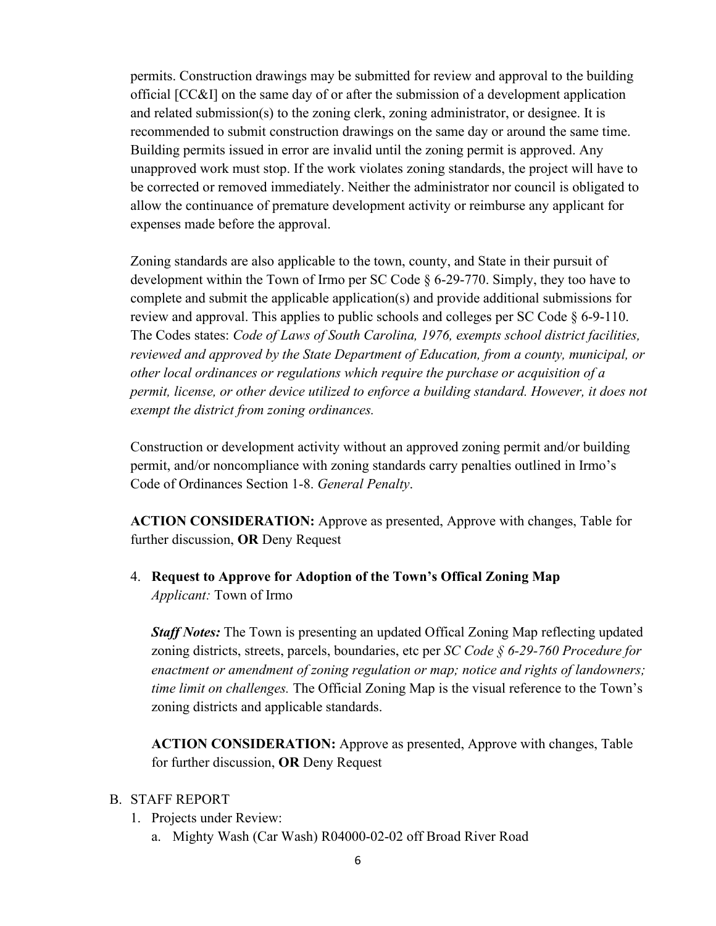permits. Construction drawings may be submitted for review and approval to the building official [CC&I] on the same day of or after the submission of a development application and related submission(s) to the zoning clerk, zoning administrator, or designee. It is recommended to submit construction drawings on the same day or around the same time. Building permits issued in error are invalid until the zoning permit is approved. Any unapproved work must stop. If the work violates zoning standards, the project will have to be corrected or removed immediately. Neither the administrator nor council is obligated to allow the continuance of premature development activity or reimburse any applicant for expenses made before the approval.

Zoning standards are also applicable to the town, county, and State in their pursuit of development within the Town of Irmo per SC Code § 6-29-770. Simply, they too have to complete and submit the applicable application(s) and provide additional submissions for review and approval. This applies to public schools and colleges per SC Code § 6-9-110. The Codes states: *Code of Laws of South Carolina, 1976, exempts school district facilities, reviewed and approved by the State Department of Education, from a county, municipal, or other local ordinances or regulations which require the purchase or acquisition of a permit, license, or other device utilized to enforce a building standard. However, it does not exempt the district from zoning ordinances.*

Construction or development activity without an approved zoning permit and/or building permit, and/or noncompliance with zoning standards carry penalties outlined in Irmo's Code of Ordinances Section 1-8. *General Penalty*.

**ACTION CONSIDERATION:** Approve as presented, Approve with changes, Table for further discussion, **OR** Deny Request

4. **Request to Approve for Adoption of the Town's Offical Zoning Map** *Applicant:* Town of Irmo

*Staff Notes:* The Town is presenting an updated Offical Zoning Map reflecting updated zoning districts, streets, parcels, boundaries, etc per *SC Code § 6-29-760 Procedure for enactment or amendment of zoning regulation or map; notice and rights of landowners; time limit on challenges.* The Official Zoning Map is the visual reference to the Town's zoning districts and applicable standards.

**ACTION CONSIDERATION:** Approve as presented, Approve with changes, Table for further discussion, **OR** Deny Request

# B. STAFF REPORT

- 1. Projects under Review:
	- a. Mighty Wash (Car Wash) R04000-02-02 off Broad River Road